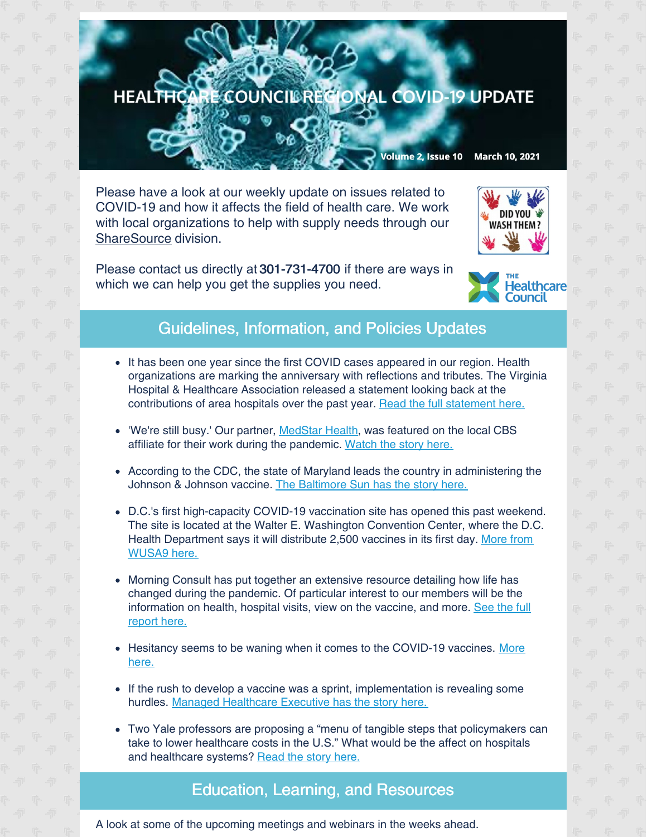## HEALTHCARE COUNCIL RECIONAL COVID-19 UPDATE

Volume 2, Issue 10 March 10, 2021

Please have a look at our weekly update on issues related to COVID-19 and how it affects the field of health care. We work with local organizations to help with supply needs through our [ShareSource](https://www.share-source.org/) division.

Please contact us directly at 301-731-4700 if there are ways in which we can help you get the supplies you need.





## Guidelines, Information, and Policies Updates

- It has been one year since the first COVID cases appeared in our region. Health organizations are marking the anniversary with reflections and tributes. The Virginia Hospital & Healthcare Association released a statement looking back at the contributions of area hospitals over the past year. Read the full [statement](https://www.vhha.com/communications/in-the-year-since-virginias-first-confirmed-covid-19-case-a-look-back-at-all-the-contributions-made-by-hospitals/) here.
- 'We're still busy.' Our partner, [MedStar](https://www.medstarhealth.org/) Health, was featured on the local CBS affiliate for their work during the pandemic. [Watch](https://www.wusa9.com/article/news/health/coronavirus/dc-nurses-and-doctors-reflect-on-struggles-and-support-one-year-after-covid-first-hit/65-4916cda1-3908-42fb-b522-17d009cd38ba?linkId=100000035366516) the story here.
- According to the CDC, the state of Maryland leads the country in administering the Johnson & Johnson vaccine. The [Baltimore](https://www.baltimoresun.com/coronavirus/bs-md-coronavirus-update-mar-9-cases-deaths-hospitalizations-vaccines-20210309-g4fqjhz63ffdvfjexbnxmxj6s4-story.html) Sun has the story here.
- D.C.'s first high-capacity COVID-19 vaccination site has opened this past weekend. The site is located at the Walter E. Washington Convention Center, where the D.C. Health [Department](https://www.wusa9.com/article/news/health/coronavirus/vaccine/dc-first-high-capacity-covidvaccine-site-opens-convention-center/65-8e1cefdd-c26c-4ee5-b6d8-75d20667a015) says it will distribute 2,500 vaccines in its first day. More from WUSA9 here.
- Morning Consult has put together an extensive resource detailing how life has changed during the pandemic. Of particular interest to our members will be the [information](https://morningconsult.com/2021/03/09/one-year-out-public-opinion-data-defined-covid-19-pandemic/?utm_source=newsletter&utm_medium=email_newsletter&utm_campaign=feature_story&utm_content=Galvin_Health_1_030921&mkt_tok=ODUwLVRBQS01MTEAAAF7tiMVd9OMI9NNwhoCP2OQTe6856OCAtlxJyRedTEhF7Tzd_NPwplO98BcdvqnTKYM1HENwjDLJDdWXnMdoX_ow5TN33yoFdZYfP-BOjM5PyR) on health, hospital visits, view on the vaccine, and more. See the full report here.
- Hesitancy seems to be waning when it comes to the [COVID-19](https://www.managedhealthcareexecutive.com/view/covid-19-vaccine-news-roundup-what-happened-this-week?utm_source=sfmc&utm_medium=email&utm_campaign=03082021_BIO-20-MHV0102_MHE_eNL_Pop Health Video Biogen traffic&eKey=bHBpdHRvbkBoZWFsdGhjYXJlLWNvdW5jaWwub3Jn) vaccines. More here.
- If the rush to develop a vaccine was a sprint, implementation is revealing some hurdles. Managed [Healthcare](https://www.managedhealthcareexecutive.com/view/the-covid-19-vaccine-race-was-a-sprint-now-for-the-hurdles?utm_source=sfmc&utm_medium=email&utm_campaign=03082021_BIO-20-MHV0102_MHE_eNL_Pop Health Video Biogen traffic&eKey=bHBpdHRvbkBoZWFsdGhjYXJlLWNvdW5jaWwub3Jn) Executive has the story here.
- Two Yale professors are proposing a "menu of tangible steps that policymakers can take to lower healthcare costs in the U.S." What would be the affect on hospitals and healthcare systems? [Read](https://www.managedhealthcareexecutive.com/view/yale-profs-take-a-piece-by-piece-approach-to-healthcare?utm_source=sfmc&utm_medium=email&utm_campaign=03052021_BIO-20-MHV0102_MHE_eNL_Pop Health Podcast_Biogen-Traffic_COVID-19 Vaccination_Eagle Telemed&eKey=bHBpdHRvbkBoZWFsdGhjYXJlLWNvdW5jaWwub3Jn) the story here.

## Education, Learning, and Resources

A look at some of the upcoming meetings and webinars in the weeks ahead.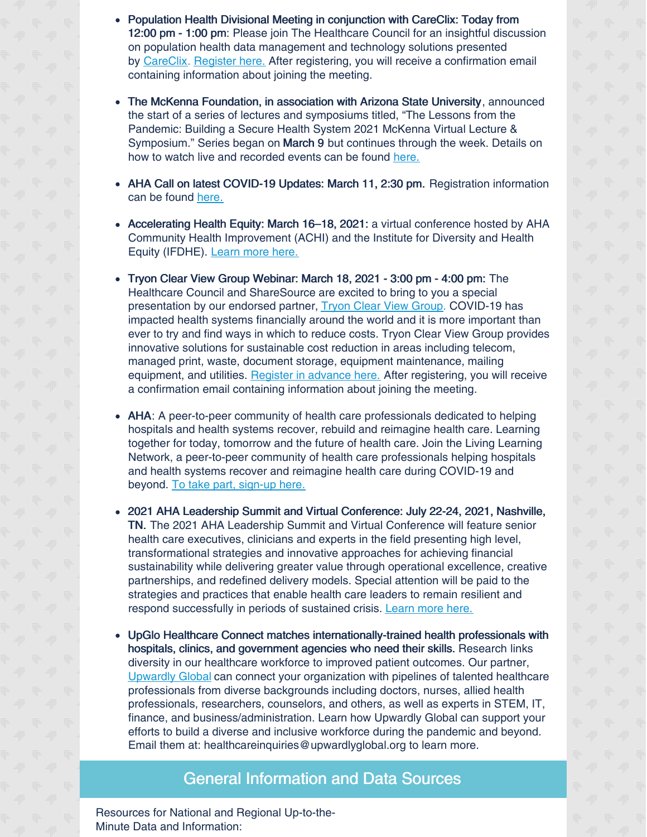- Population Health Divisional Meeting in conjunction with CareClix: Today from 12:00 pm - 1:00 pm: Please join The Healthcare Council for an insightful discussion on population health data management and technology solutions presented by [CareClix](https://careclix.com/). [Register](https://us02web.zoom.us/meeting/register/tZIocuGvrTwsH9JIkJ2aU0a3yb1tbyNJCxJy) here. After registering, you will receive a confirmation email containing information about joining the meeting.
- The McKenna Foundation, in association with Arizona State University, announced the start of a series of lectures and symposiums titled, "The Lessons from the Pandemic: Building a Secure Health System 2021 McKenna Virtual Lecture & Symposium." Series began on March 9 but continues through the week. Details on how to watch live and recorded events can be found [here.](https://www.hpnonline.com/sourcing-logistics/article/21213443/2021-mckennavirtual-lecture-symposium-lessons-from-the-pandemic-series-startstodayutm_source=HPN+Daily+Newsletter&utm_medium=email&utm_campaign=CPS210309024&o_eid=8887J6354667A2S&rdx.ident=%5Bobject+Object%5D&oly_enc_id=8887J6354667A2S)
- AHA Call on latest COVID-19 Updates: March 11, 2:30 pm. Registration information can be found [here.](https://contentsharing.net/actions/email_web_version.cfm?ep=Bdhtp-zVuqFkgQiV6-lxty0f-nrLBJWzuTngPvD-5dWkbH5A2G5mKmcPk0Zzaq-LeQOGVFQ6wAiXPk3ZnL2YX87o-9gaX4UpqF5fAXOtem0oLCz4uWUPHPHaXM1taUVK)
- Accelerating Health Equity: March 16–18, 2021: a virtual conference hosted by AHA Community Health Improvement (ACHI) and the Institute for Diversity and Health Equity (IFDHE). [Learn](https://web.cvent.com/event/1d1ba846-d6dd-4680-adab-d06044e236c4/summary) more here.
- Tryon Clear View Group Webinar: March 18, 2021 3:00 pm 4:00 pm: The Healthcare Council and ShareSource are excited to bring to you a special presentation by our endorsed partner, Tryon Clear View [Group](https://www.oneclearview.com/). COVID-19 has impacted health systems financially around the world and it is more important than ever to try and find ways in which to reduce costs. Tryon Clear View Group provides innovative solutions for sustainable cost reduction in areas including telecom, managed print, waste, document storage, equipment maintenance, mailing equipment, and utilities. Register in [advance](https://us02web.zoom.us/meeting/register/tZUldu-tqDgvHNfulalapfUQwJkfc4pFdjED) here. After registering, you will receive a confirmation email containing information about joining the meeting.
- AHA: A peer-to-peer community of health care professionals dedicated to helping hospitals and health systems recover, rebuild and reimagine health care. Learning together for today, tomorrow and the future of health care. Join the Living Learning Network, a peer-to-peer community of health care professionals helping hospitals and health systems recover and reimagine health care during COVID-19 and beyond. To take part, [sign-up](https://www.aha.org/center/living-learning-network) here.
- 2021 AHA Leadership Summit and Virtual Conference: July 22-24, 2021, Nashville, TN. The 2021 AHA Leadership Summit and Virtual Conference will feature senior health care executives, clinicians and experts in the field presenting high level, transformational strategies and innovative approaches for achieving financial sustainability while delivering greater value through operational excellence, creative partnerships, and redefined delivery models. Special attention will be paid to the strategies and practices that enable health care leaders to remain resilient and respond successfully in periods of sustained crisis. [Learn](https://www.aha.org/education-and-events/leadership-summit) more here.
- UpGlo Healthcare Connect matches internationally-trained health professionals with hospitals, clinics, and government agencies who need their skills. Research links diversity in our healthcare workforce to improved patient outcomes. Our partner, [Upwardly](https://www.upwardlyglobal.org/healthcare-connect-covid-19/) Global can connect your organization with pipelines of talented healthcare professionals from diverse backgrounds including doctors, nurses, allied health professionals, researchers, counselors, and others, as well as experts in STEM, IT, finance, and business/administration. Learn how Upwardly Global can support your efforts to build a diverse and inclusive workforce during the pandemic and beyond. Email them at: healthcareinquiries@upwardlyglobal.org to learn more.

## General Information and Data Sources

Resources for National and Regional Up-to-the-Minute Data and Information: